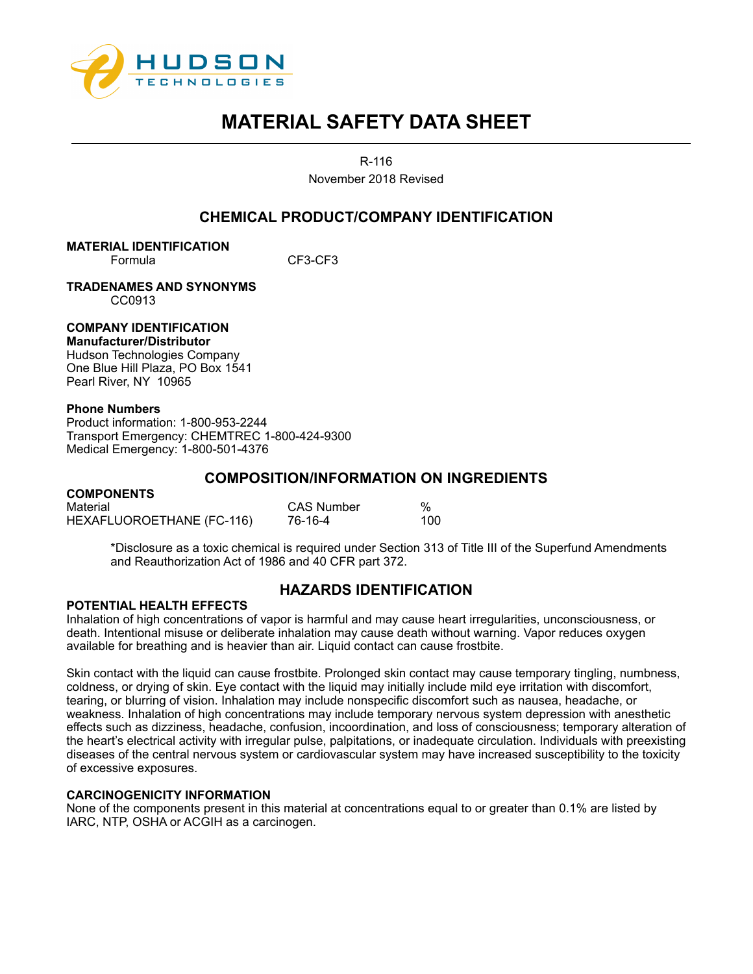

R-116

November 2018 Revised

## **CHEMICAL PRODUCT/COMPANY IDENTIFICATION**

**MATERIAL IDENTIFICATION** Formula CF3-CF3

**TRADENAMES AND SYNONYMS** CC0913

## **COMPANY IDENTIFICATION**

**Manufacturer/Distributor**  Hudson Technologies Company One Blue Hill Plaza, PO Box 1541 Pearl River, NY 10965

## **Phone Numbers**

Product information: 1-800-953-2244 Transport Emergency: CHEMTREC 1-800-424-9300 Medical Emergency: 1-800-501-4376

## **COMPOSITION/INFORMATION ON INGREDIENTS**

| <b>COMPONENTS</b>         |                   |     |
|---------------------------|-------------------|-----|
| Material                  | <b>CAS Number</b> | %   |
| HEXAFLUOROETHANE (FC-116) | 76-16-4           | 100 |

\*Disclosure as a toxic chemical is required under Section 313 of Title III of the Superfund Amendments and Reauthorization Act of 1986 and 40 CFR part 372.

# **HAZARDS IDENTIFICATION**

## **POTENTIAL HEALTH EFFECTS**

Inhalation of high concentrations of vapor is harmful and may cause heart irregularities, unconsciousness, or death. Intentional misuse or deliberate inhalation may cause death without warning. Vapor reduces oxygen available for breathing and is heavier than air. Liquid contact can cause frostbite.

Skin contact with the liquid can cause frostbite. Prolonged skin contact may cause temporary tingling, numbness, coldness, or drying of skin. Eye contact with the liquid may initially include mild eye irritation with discomfort, tearing, or blurring of vision. Inhalation may include nonspecific discomfort such as nausea, headache, or weakness. Inhalation of high concentrations may include temporary nervous system depression with anesthetic effects such as dizziness, headache, confusion, incoordination, and loss of consciousness; temporary alteration of the heart's electrical activity with irregular pulse, palpitations, or inadequate circulation. Individuals with preexisting diseases of the central nervous system or cardiovascular system may have increased susceptibility to the toxicity of excessive exposures.

## **CARCINOGENICITY INFORMATION**

None of the components present in this material at concentrations equal to or greater than 0.1% are listed by IARC, NTP, OSHA or ACGIH as a carcinogen.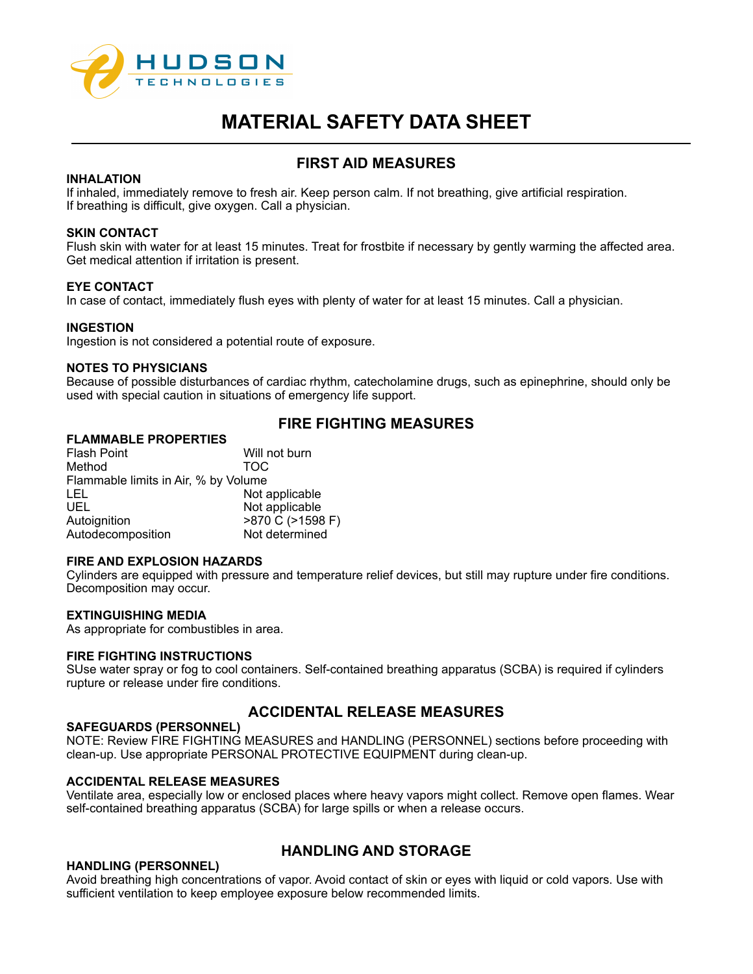

# **FIRST AID MEASURES**

## **INHALATION**

If inhaled, immediately remove to fresh air. Keep person calm. If not breathing, give artificial respiration. If breathing is difficult, give oxygen. Call a physician.

## **SKIN CONTACT**

Flush skin with water for at least 15 minutes. Treat for frostbite if necessary by gently warming the affected area. Get medical attention if irritation is present.

#### **EYE CONTACT**

In case of contact, immediately flush eyes with plenty of water for at least 15 minutes. Call a physician.

#### **INGESTION**

Ingestion is not considered a potential route of exposure.

### **NOTES TO PHYSICIANS**

Because of possible disturbances of cardiac rhythm, catecholamine drugs, such as epinephrine, should only be used with special caution in situations of emergency life support.

## **FIRE FIGHTING MEASURES**

## **FLAMMABLE PROPERTIES**

Flash Point **Will not burn** Method TOC Flammable limits in Air, % by Volume LEL Not applicable UEL Not applicable >870 C (>1598 F) Autodecomposition Not determined

#### **FIRE AND EXPLOSION HAZARDS**

Cylinders are equipped with pressure and temperature relief devices, but still may rupture under fire conditions. Decomposition may occur.

## **EXTINGUISHING MEDIA**

As appropriate for combustibles in area.

#### **FIRE FIGHTING INSTRUCTIONS**

SUse water spray or fog to cool containers. Self-contained breathing apparatus (SCBA) is required if cylinders rupture or release under fire conditions.

## **ACCIDENTAL RELEASE MEASURES**

### **SAFEGUARDS (PERSONNEL)**

NOTE: Review FIRE FIGHTING MEASURES and HANDLING (PERSONNEL) sections before proceeding with clean-up. Use appropriate PERSONAL PROTECTIVE EQUIPMENT during clean-up.

#### **ACCIDENTAL RELEASE MEASURES**

Ventilate area, especially low or enclosed places where heavy vapors might collect. Remove open flames. Wear self-contained breathing apparatus (SCBA) for large spills or when a release occurs.

#### **HANDLING (PERSONNEL)**

## **HANDLING AND STORAGE**

Avoid breathing high concentrations of vapor. Avoid contact of skin or eyes with liquid or cold vapors. Use with sufficient ventilation to keep employee exposure below recommended limits.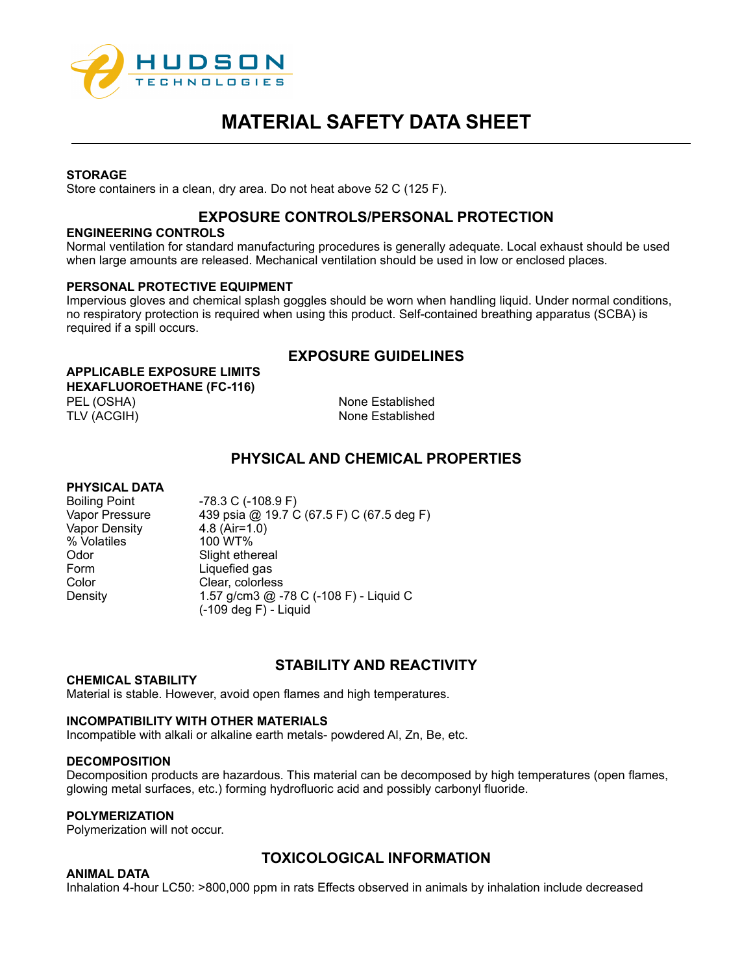

## **STORAGE**

Store containers in a clean, dry area. Do not heat above 52 C (125 F).

## **EXPOSURE CONTROLS/PERSONAL PROTECTION**

#### **ENGINEERING CONTROLS**

Normal ventilation for standard manufacturing procedures is generally adequate. Local exhaust should be used when large amounts are released. Mechanical ventilation should be used in low or enclosed places.

## **PERSONAL PROTECTIVE EQUIPMENT**

Impervious gloves and chemical splash goggles should be worn when handling liquid. Under normal conditions, no respiratory protection is required when using this product. Self-contained breathing apparatus (SCBA) is required if a spill occurs.

## **EXPOSURE GUIDELINES**

**APPLICABLE EXPOSURE LIMITS HEXAFLUOROETHANE (FC-116)**

PEL (OSHA) None Established TLV (ACGIH) None Established

## **PHYSICAL AND CHEMICAL PROPERTIES**

## **PHYSICAL DATA**

Boiling Point -78.3 C (-108.9 F) Vapor Density % Volatiles 100 WT% Odor Slight ethereal<br>
Form Liquefied gas Color Clear, colorless

Vapor Pressure 439 psia @ 19.7 C (67.5 F) C (67.5 deg F)<br>Vapor Density 4.8 (Air=1.0) Liquefied gas Density 1.57 g/cm3 @ -78 C (-108 F) - Liquid C (-109 deg F) - Liquid

## **STABILITY AND REACTIVITY**

## **CHEMICAL STABILITY**

Material is stable. However, avoid open flames and high temperatures.

## **INCOMPATIBILITY WITH OTHER MATERIALS**

Incompatible with alkali or alkaline earth metals- powdered Al, Zn, Be, etc.

## **DECOMPOSITION**

Decomposition products are hazardous. This material can be decomposed by high temperatures (open flames, glowing metal surfaces, etc.) forming hydrofluoric acid and possibly carbonyl fluoride.

## **POLYMERIZATION**

Polymerization will not occur.

## **ANIMAL DATA**

**TOXICOLOGICAL INFORMATION**

Inhalation 4-hour LC50: >800,000 ppm in rats Effects observed in animals by inhalation include decreased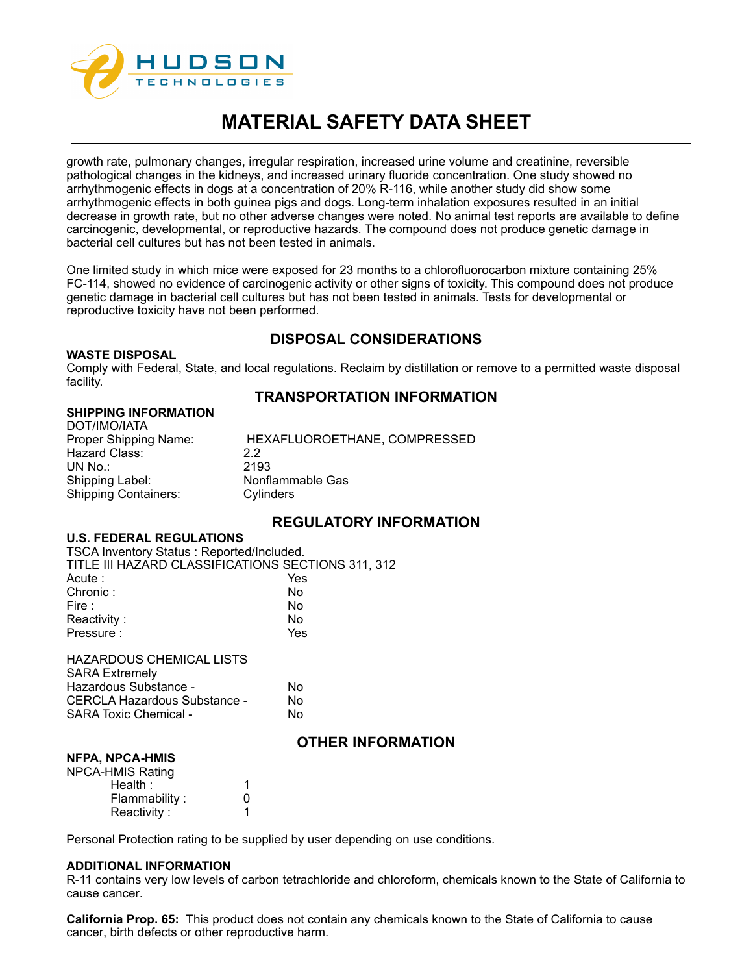

growth rate, pulmonary changes, irregular respiration, increased urine volume and creatinine, reversible pathological changes in the kidneys, and increased urinary fluoride concentration. One study showed no arrhythmogenic effects in dogs at a concentration of 20% R-116, while another study did show some arrhythmogenic effects in both guinea pigs and dogs. Long-term inhalation exposures resulted in an initial decrease in growth rate, but no other adverse changes were noted. No animal test reports are available to define carcinogenic, developmental, or reproductive hazards. The compound does not produce genetic damage in bacterial cell cultures but has not been tested in animals.

One limited study in which mice were exposed for 23 months to a chlorofluorocarbon mixture containing 25% FC-114, showed no evidence of carcinogenic activity or other signs of toxicity. This compound does not produce genetic damage in bacterial cell cultures but has not been tested in animals. Tests for developmental or reproductive toxicity have not been performed.

## **DISPOSAL CONSIDERATIONS**

#### **WASTE DISPOSAL**

Comply with Federal, State, and local regulations. Reclaim by distillation or remove to a permitted waste disposal facility.

## **TRANSPORTATION INFORMATION**

## **SHIPPING INFORMATION**

| DOT/IMO/IATA                |                              |
|-----------------------------|------------------------------|
| Proper Shipping Name:       | HEXAFLUOROETHANE, COMPRESSED |
| Hazard Class:               | 22                           |
| UN No.:                     | 2193                         |
| Shipping Label:             | Nonflammable Gas             |
| <b>Shipping Containers:</b> | Cylinders                    |

## **REGULATORY INFORMATION**

## **U.S. FEDERAL REGULATIONS**

| <b>TSCA Inventory Status: Reported/Included.</b>   |     |
|----------------------------------------------------|-----|
| TITLE III HAZARD CLASSIFICATIONS SECTIONS 311, 312 |     |
| Acute :                                            | Yes |
| Chronic:                                           | No  |
| Fire :                                             | No  |
| Reactivity:                                        | No  |
| Pressure:                                          | Yes |
| <b>HAZARDOUS CHEMICAL LISTS</b>                    |     |
| <b>SARA Extremely</b>                              |     |
| Hazardous Substance -                              | No  |
| CERCLA Hazardous Substance -                       | No  |
| <b>SARA Toxic Chemical -</b>                       | No  |

## **OTHER INFORMATION**

### **NFPA, NPCA-HMIS** NPCA<sup>-</sup>

| טוויוירע ויו  |   |
|---------------|---|
| -HMIS Rating  |   |
| Health:       | 1 |
| Flammability: | O |
| Reactivity:   |   |

Personal Protection rating to be supplied by user depending on use conditions.

## **ADDITIONAL INFORMATION**

R-11 contains very low levels of carbon tetrachloride and chloroform, chemicals known to the State of California to cause cancer.

**California Prop. 65:** This product does not contain any chemicals known to the State of California to cause cancer, birth defects or other reproductive harm.